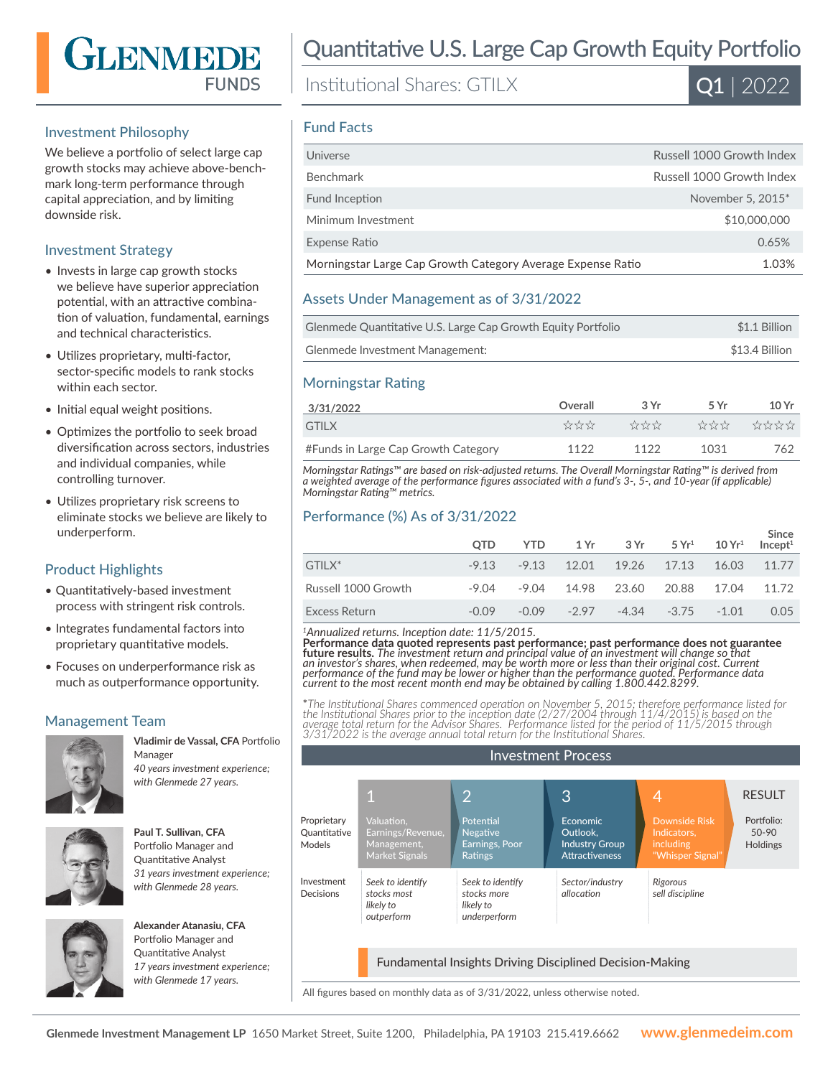

## Investment Philosophy

We believe a portfolio of select large cap growth stocks may achieve above-benchmark long-term performance through capital appreciation, and by limiting downside risk.

## Investment Strategy

- Invests in large cap growth stocks we believe have superior appreciation potential, with an attractive combination of valuation, fundamental, earnings and technical characteristics.
- Utilizes proprietary, multi-factor, sector-specific models to rank stocks within each sector.
- Initial equal weight positions.
- Optimizes the portfolio to seek broad diversification across sectors, industries and individual companies, while controlling turnover.
- Utilizes proprietary risk screens to eliminate stocks we believe are likely to underperform.

## Product Highlights

- Quantitatively-based investment process with stringent risk controls.
- Integrates fundamental factors into proprietary quantitative models.
- Focuses on underperformance risk as much as outperformance opportunity.

## Management Team



**Vladimir de Vassal, CFA** Portfolio Manager *40 years investment experience; with Glenmede 27 years.*



**Paul T. Sullivan, CFA**  Portfolio Manager and Quantitative Analyst *31 years investment experience; with Glenmede 28 years.*



**Alexander Atanasiu, CFA**  Portfolio Manager and Quantitative Analyst *17 years investment experience; with Glenmede 17 years.*

# Quantitative U.S. Large Cap Growth Equity Portfolio

Institutional Shares: GTILX



#### Fund Facts

| Universe                                                    | Russell 1000 Growth Index |
|-------------------------------------------------------------|---------------------------|
| <b>Benchmark</b>                                            | Russell 1000 Growth Index |
| Fund Inception                                              | November 5, 2015*         |
| Minimum Investment                                          | \$10,000,000              |
| Expense Ratio                                               | 0.65%                     |
| Morningstar Large Cap Growth Category Average Expense Ratio | 1.03%                     |

## Assets Under Management as of 3/31/2022

| Glenmede Quantitative U.S. Large Cap Growth Equity Portfolio | \$1.1 Billion  |
|--------------------------------------------------------------|----------------|
| Glenmede Investment Management:                              | \$13.4 Billion |

#### Morningstar Rating

| 3/31/2022                           | Overall | 3Vr   | 5 Vr   | 10 Yr      |
|-------------------------------------|---------|-------|--------|------------|
| GTII X                              |         | ***** | 525252 | ਲੈਲੇ ਲੈ ਲੈ |
| #Funds in Large Cap Growth Category | 1122    | 1122  | 1031   | 762        |

*Morningstar Ratings™ are based on risk-adjusted returns. The Overall Morningstar Rating™ is derived from a weighted average of the performance figures associated with a fund's 3-, 5-, and 10-year (if applicable) Morningstar Rating™ metrics.*

## Performance (%) As of 3/31/2022

|                     | <b>OTD</b> | YTD $1\,\mathrm{Yr}$ $3\,\mathrm{Yr}$ $5\,\mathrm{Yr}^1$ $10\,\mathrm{Yr}^1$ |                     | Since<br>Incept <sup>1</sup> |
|---------------------|------------|------------------------------------------------------------------------------|---------------------|------------------------------|
| $GTHX^*$            |            | -9.13 -9.13 12.01 19.26 17.13 16.03 11.77                                    |                     |                              |
| Russell 1000 Growth | -9 04      | $-9.04$ 14.98 23.60 20.88 17.04 11.72                                        |                     |                              |
| Excess Return       | $-0.09$    | $-0.09 - 2.97$                                                               | $-4.34 -3.75 -1.01$ | 0.05                         |

*<sup>1</sup>Annualized returns. Inception date: 11/5/2015.*

Performance data quoted represents past performance; past performance does not guarantee<br>future results. The investment return and principal value of an investment will change so that<br>an investor's shares, when redeemed, m

\*The Institutional Shares commenced operation on November 5, 2015; therefore performance listed for<br>the Institutional Shares prior to the inception date (2/27/2004 through 11/4/2015) is based on the<br>average total return fo *3/31/2022 is the average annual total return for the Institutional Shares.*

| <b>RESULT</b><br>4                                                                                                        | 3                                                                             | $\overline{2}$                                                   | $\mathbf{1}$                                                     |                                       |
|---------------------------------------------------------------------------------------------------------------------------|-------------------------------------------------------------------------------|------------------------------------------------------------------|------------------------------------------------------------------|---------------------------------------|
| <b>Downside Risk</b><br>Portfolio:<br>Indicators,<br>$50 - 90$<br><i>including</i><br><b>Holdings</b><br>"Whisper Signal" | <b>Economic</b><br>Outlook,<br><b>Industry Group</b><br><b>Attractiveness</b> | Potential<br><b>Negative</b><br>Earnings, Poor<br><b>Ratings</b> | Valuation.<br>Earnings/Revenue,<br>Management,<br>Market Signals | Proprietary<br>Quantitative<br>Models |
| Rigorous<br>sell discipline                                                                                               | Sector/industry<br>allocation                                                 | Seek to identify<br>stocks more<br>likely to<br>underperform     | Seek to identify<br>stocks most<br>likely to<br>outperform       | Investment<br>Decisions               |
|                                                                                                                           |                                                                               | <b>Fundamental Insights Driving Disciplined Decision-Making</b>  |                                                                  |                                       |

All figures based on monthly data as of 3/31/2022, unless otherwise noted.